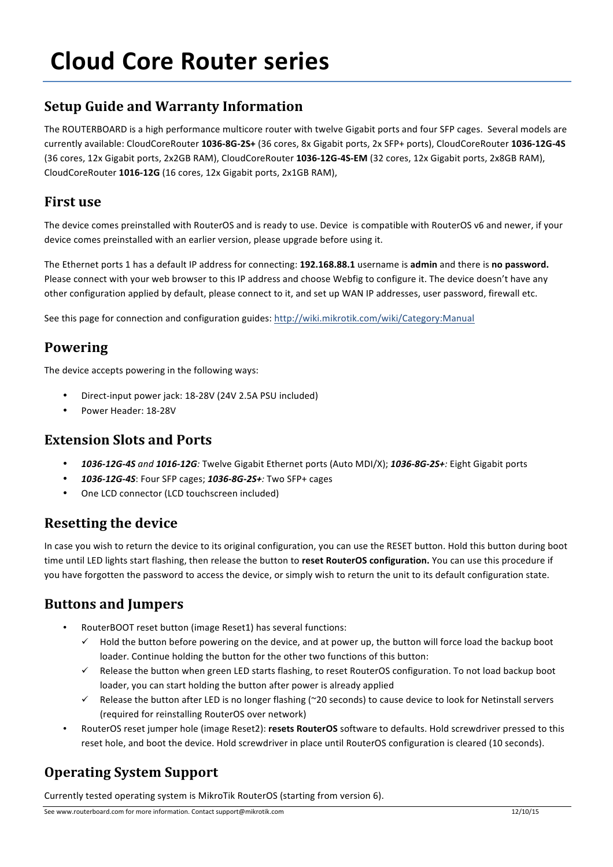# **Cloud Core Router series**

## **Setup Guide and Warranty Information**

The ROUTERBOARD is a high performance multicore router with twelve Gigabit ports and four SFP cages. Several models are currently available: CloudCoreRouter **1036-8G-2S+** (36 cores, 8x Gigabit ports, 2x SFP+ ports), CloudCoreRouter **1036-12G-4S** (36 cores, 12x Gigabit ports, 2x2GB RAM), CloudCoreRouter 1036-12G-4S-EM (32 cores, 12x Gigabit ports, 2x8GB RAM), CloudCoreRouter 1016-12G (16 cores, 12x Gigabit ports, 2x1GB RAM),

#### **First use**

The device comes preinstalled with RouterOS and is ready to use. Device is compatible with RouterOS v6 and newer, if your device comes preinstalled with an earlier version, please upgrade before using it.

The Ethernet ports 1 has a default IP address for connecting: 192.168.88.1 username is admin and there is no password. Please connect with your web browser to this IP address and choose Webfig to configure it. The device doesn't have any other configuration applied by default, please connect to it, and set up WAN IP addresses, user password, firewall etc.

See this page for connection and configuration guides: http://wiki.mikrotik.com/wiki/Category:Manual

#### **Powering**

The device accepts powering in the following ways:

- Direct-input power jack: 18-28V (24V 2.5A PSU included)
- Power Header: 18-28V

#### **Extension Slots and Ports**

- 1036-12G-4S and 1016-12G: Twelve Gigabit Ethernet ports (Auto MDI/X); 1036-8G-2S+: Eight Gigabit ports
- 1036-12G-4S: Four SFP cages; 1036-8G-2S+: Two SFP+ cages
- One LCD connector (LCD touchscreen included)

#### **Resetting the device**

In case you wish to return the device to its original configuration, you can use the RESET button. Hold this button during boot time until LED lights start flashing, then release the button to reset RouterOS configuration. You can use this procedure if you have forgotten the password to access the device, or simply wish to return the unit to its default configuration state.

#### **Buttons and Jumpers**

- RouterBOOT reset button (image Reset1) has several functions:
	- $\checkmark$  Hold the button before powering on the device, and at power up, the button will force load the backup boot loader. Continue holding the button for the other two functions of this button:
	- $\checkmark$  Release the button when green LED starts flashing, to reset RouterOS configuration. To not load backup boot loader, you can start holding the button after power is already applied
	- $\checkmark$  Release the button after LED is no longer flashing (~20 seconds) to cause device to look for Netinstall servers (required for reinstalling RouterOS over network)
- RouterOS reset jumper hole (image Reset2): resets RouterOS software to defaults. Hold screwdriver pressed to this reset hole, and boot the device. Hold screwdriver in place until RouterOS configuration is cleared (10 seconds).

## **Operating System Support**

Currently tested operating system is MikroTik RouterOS (starting from version 6).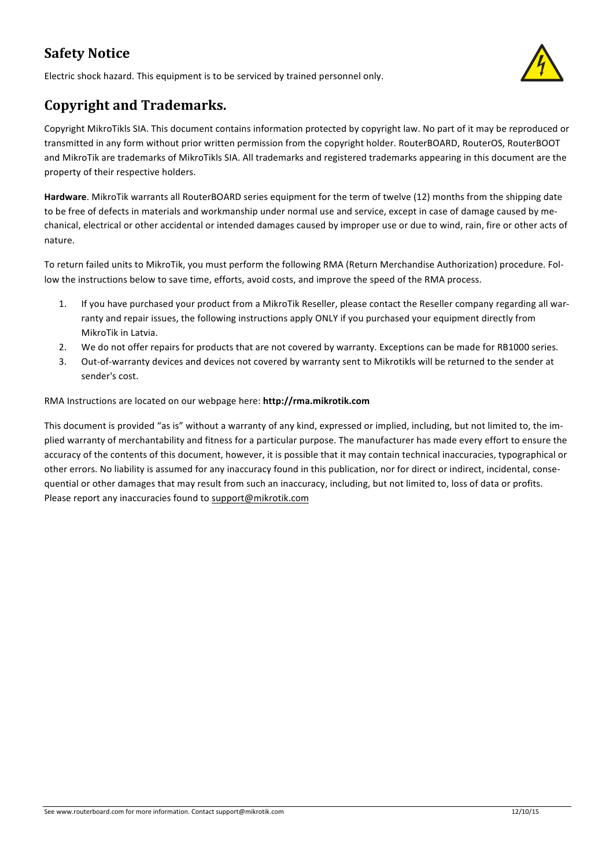## **Safety Notice**

Electric shock hazard. This equipment is to be serviced by trained personnel only.



## **Copyright and Trademarks.**

Copyright MikroTikls SIA. This document contains information protected by copyright law. No part of it may be reproduced or transmitted in any form without prior written permission from the copyright holder. RouterBOARD, RouterDS, RouterBOOT and MikroTik are trademarks of MikroTikls SIA. All trademarks and registered trademarks appearing in this document are the property of their respective holders.

Hardware. MikroTik warrants all RouterBOARD series equipment for the term of twelve (12) months from the shipping date to be free of defects in materials and workmanship under normal use and service, except in case of damage caused by mechanical, electrical or other accidental or intended damages caused by improper use or due to wind, rain, fire or other acts of nature.

To return failed units to MikroTik, you must perform the following RMA (Return Merchandise Authorization) procedure. Follow the instructions below to save time, efforts, avoid costs, and improve the speed of the RMA process.

- 1. If you have purchased your product from a MikroTik Reseller, please contact the Reseller company regarding all warranty and repair issues, the following instructions apply ONLY if you purchased your equipment directly from MikroTik in Latvia.
- 2. We do not offer repairs for products that are not covered by warranty. Exceptions can be made for RB1000 series.
- 3. Out-of-warranty devices and devices not covered by warranty sent to Mikrotikls will be returned to the sender at sender's cost.

#### RMA Instructions are located on our webpage here: http://rma.mikrotik.com

This document is provided "as is" without a warranty of any kind, expressed or implied, including, but not limited to, the implied warranty of merchantability and fitness for a particular purpose. The manufacturer has made every effort to ensure the accuracy of the contents of this document, however, it is possible that it may contain technical inaccuracies, typographical or other errors. No liability is assumed for any inaccuracy found in this publication, nor for direct or indirect, incidental, consequential or other damages that may result from such an inaccuracy, including, but not limited to, loss of data or profits. Please report any inaccuracies found to support@mikrotik.com